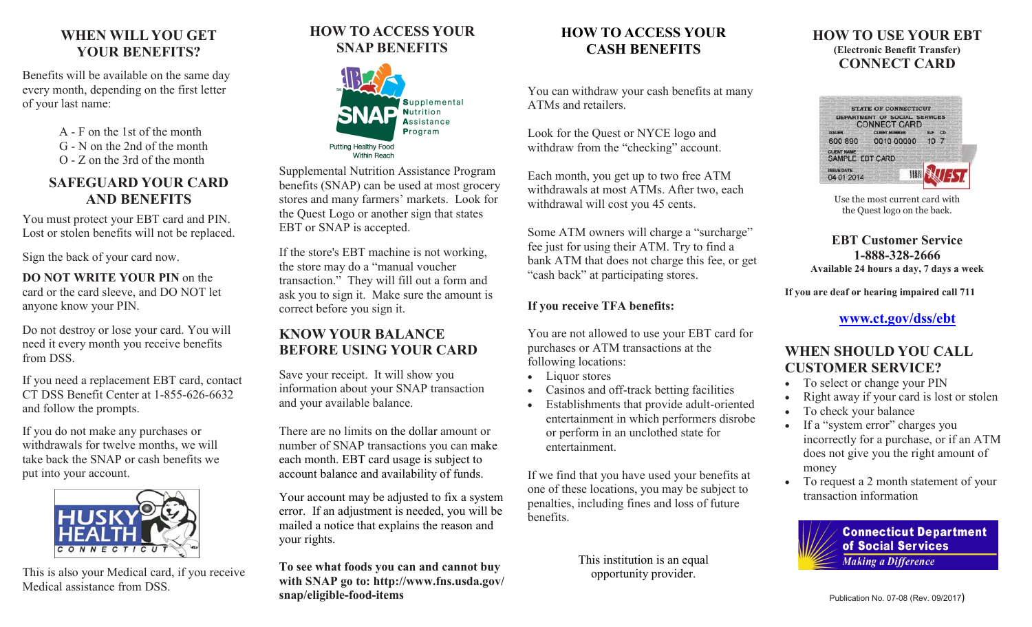## **WHEN WILL YOU GET YOUR BENEFITS?**

Benefits will be available on the same day every month, depending on the first letter of your last name:

> A - F on the 1st of the month G - N on the 2nd of the month O - Z on the 3rd of the month

### **SAFEGUARD YOUR CARD AND BENEFITS**

You must protect your EBT card and PIN. Lost or stolen benefits will not be replaced.

Sign the back of your card now.

**DO NOT WRITE YOUR PIN** on the card or the card sleeve, and DO NOT let anyone know your PIN.

Do not destroy or lose your card. You will need it every month you receive benefits from DSS.

If you need a replacement EBT card, contact CT DSS Benefit Center at 1-855-626-6632 and follow the prompts.

If you do not make any purchases or withdrawals for twelve months, we will take back the SNAP or cash benefits we put into your account.



This is also your Medical card, if you receive Medical assistance from DSS.

## **HOW TO ACCESS YOUR SNAP BENEFITS**



Supplemental Nutrition Assistance Program benefits (SNAP) can be used at most grocery stores and many farmers' markets. Look for the Quest Logo or another sign that states EBT or SNAP is accepted.

If the store's EBT machine is not working, the store may do a "manual voucher transaction." They will fill out a form and ask you to sign it. Make sure the amount is correct before you sign it.

### **KNOW YOUR BALANCE BEFORE USING YOUR CARD**

Save your receipt. It will show you information about your SNAP transaction and your available balance.

There are no limits on the dollar amount or number of SNAP transactions you can make each month. EBT card usage is subject to account balance and availability of funds.

Your account may be adjusted to fix a system error. If an adjustment is needed, you will be mailed a notice that explains the reason and your rights.

**To see what foods you can and cannot buy with SNAP go to: http://www.fns.usda.gov/ snap/eligible-food-items**

## **HOW TO ACCESS YOUR CASH BENEFITS**

You can withdraw your cash benefits at many ATMs and retailers.

Look for the Quest or NYCE logo and withdraw from the "checking" account.

Each month, you get up to two free ATM withdrawals at most ATMs. After two, each withdrawal will cost you 45 cents.

Some ATM owners will charge a "surcharge" fee just for using their ATM. Try to find a bank ATM that does not charge this fee, or get "cash back" at participating stores.

### **If you receive TFA benefits:**

You are not allowed to use your EBT card for purchases or ATM transactions at the following locations:

- Liquor stores
- Casinos and off-track betting facilities
- Establishments that provide adult-oriented entertainment in which performers disrobe or perform in an unclothed state for entertainment.

If we find that you have used your benefits at one of these locations, you may be subject to penalties, including fines and loss of future benefits.

> This institution is an equal opportunity provider.

#### **HOW TO USE YOUR EBT (Electronic Benefit Transfer) CONNECT CARD**



Use the most current card with the Quest logo on the back.

**EBT Customer Service 1-888-328-2666 Available 24 hours a day, 7 days a week**

**If you are deaf or hearing impaired call 711**

**[www.ct.gov/dss/ebt](http://www.ct.gov/dss/ebt)**

## **WHEN SHOULD YOU CALL CUSTOMER SERVICE?**

- To select or change your PIN
- Right away if your card is lost or stolen
- To check your balance
- If a "system error" charges you incorrectly for a purchase, or if an ATM does not give you the right amount of money
- To request a 2 month statement of your transaction information